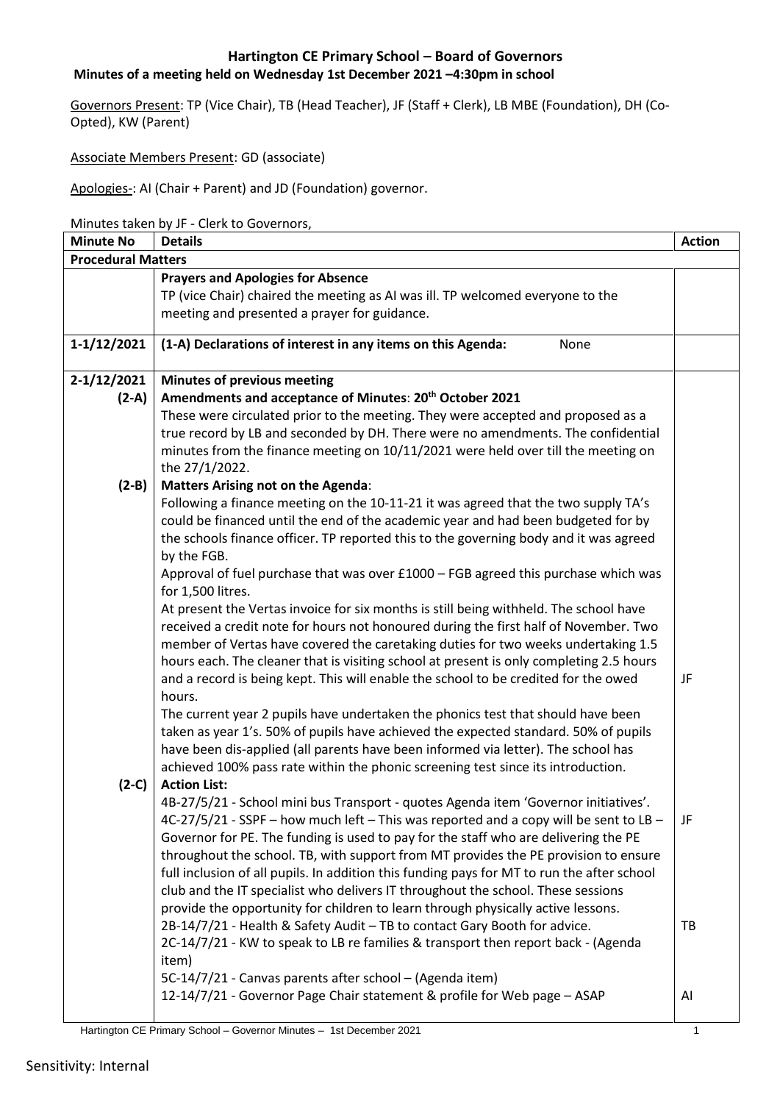## **Minutes of a meeting held on Wednesday 1st December 2021 –4:30pm in school**

Governors Present: TP (Vice Chair), TB (Head Teacher), JF (Staff + Clerk), LB MBE (Foundation), DH (Co-Opted), KW (Parent)

Associate Members Present: GD (associate)

Apologies-: AI (Chair + Parent) and JD (Foundation) governor.

Minutes taken by JF - Clerk to Governors,

| <b>Minute No</b>          | <b>Details</b>                                                                                          | <b>Action</b> |  |
|---------------------------|---------------------------------------------------------------------------------------------------------|---------------|--|
| <b>Procedural Matters</b> |                                                                                                         |               |  |
|                           | <b>Prayers and Apologies for Absence</b>                                                                |               |  |
|                           | TP (vice Chair) chaired the meeting as AI was ill. TP welcomed everyone to the                          |               |  |
|                           | meeting and presented a prayer for guidance.                                                            |               |  |
| $1-1/12/2021$             | (1-A) Declarations of interest in any items on this Agenda:<br>None                                     |               |  |
|                           |                                                                                                         |               |  |
| $2-1/12/2021$             | <b>Minutes of previous meeting</b>                                                                      |               |  |
| $(2-A)$                   | Amendments and acceptance of Minutes: 20 <sup>th</sup> October 2021                                     |               |  |
|                           | These were circulated prior to the meeting. They were accepted and proposed as a                        |               |  |
|                           | true record by LB and seconded by DH. There were no amendments. The confidential                        |               |  |
|                           | minutes from the finance meeting on 10/11/2021 were held over till the meeting on<br>the 27/1/2022.     |               |  |
| $(2-B)$                   | <b>Matters Arising not on the Agenda:</b>                                                               |               |  |
|                           | Following a finance meeting on the 10-11-21 it was agreed that the two supply TA's                      |               |  |
|                           | could be financed until the end of the academic year and had been budgeted for by                       |               |  |
|                           | the schools finance officer. TP reported this to the governing body and it was agreed                   |               |  |
|                           | by the FGB.                                                                                             |               |  |
|                           | Approval of fuel purchase that was over £1000 - FGB agreed this purchase which was                      |               |  |
|                           | for 1,500 litres.                                                                                       |               |  |
|                           | At present the Vertas invoice for six months is still being withheld. The school have                   |               |  |
|                           | received a credit note for hours not honoured during the first half of November. Two                    |               |  |
|                           | member of Vertas have covered the caretaking duties for two weeks undertaking 1.5                       |               |  |
|                           | hours each. The cleaner that is visiting school at present is only completing 2.5 hours                 |               |  |
|                           | and a record is being kept. This will enable the school to be credited for the owed                     | JF            |  |
|                           | hours.                                                                                                  |               |  |
|                           | The current year 2 pupils have undertaken the phonics test that should have been                        |               |  |
|                           | taken as year 1's. 50% of pupils have achieved the expected standard. 50% of pupils                     |               |  |
|                           | have been dis-applied (all parents have been informed via letter). The school has                       |               |  |
|                           | achieved 100% pass rate within the phonic screening test since its introduction.<br><b>Action List:</b> |               |  |
| $(2-C)$                   | 4B-27/5/21 - School mini bus Transport - quotes Agenda item 'Governor initiatives'.                     |               |  |
|                           | 4C-27/5/21 - SSPF - how much left - This was reported and a copy will be sent to LB -                   | JF            |  |
|                           | Governor for PE. The funding is used to pay for the staff who are delivering the PE                     |               |  |
|                           | throughout the school. TB, with support from MT provides the PE provision to ensure                     |               |  |
|                           | full inclusion of all pupils. In addition this funding pays for MT to run the after school              |               |  |
|                           | club and the IT specialist who delivers IT throughout the school. These sessions                        |               |  |
|                           | provide the opportunity for children to learn through physically active lessons.                        |               |  |
|                           | 2B-14/7/21 - Health & Safety Audit - TB to contact Gary Booth for advice.                               | TB            |  |
|                           | 2C-14/7/21 - KW to speak to LB re families & transport then report back - (Agenda                       |               |  |
|                           | item)                                                                                                   |               |  |
|                           | 5C-14/7/21 - Canvas parents after school - (Agenda item)                                                |               |  |
|                           | 12-14/7/21 - Governor Page Chair statement & profile for Web page - ASAP                                | Al            |  |
|                           |                                                                                                         |               |  |

Hartington CE Primary School – Governor Minutes – 1st December 2021 1999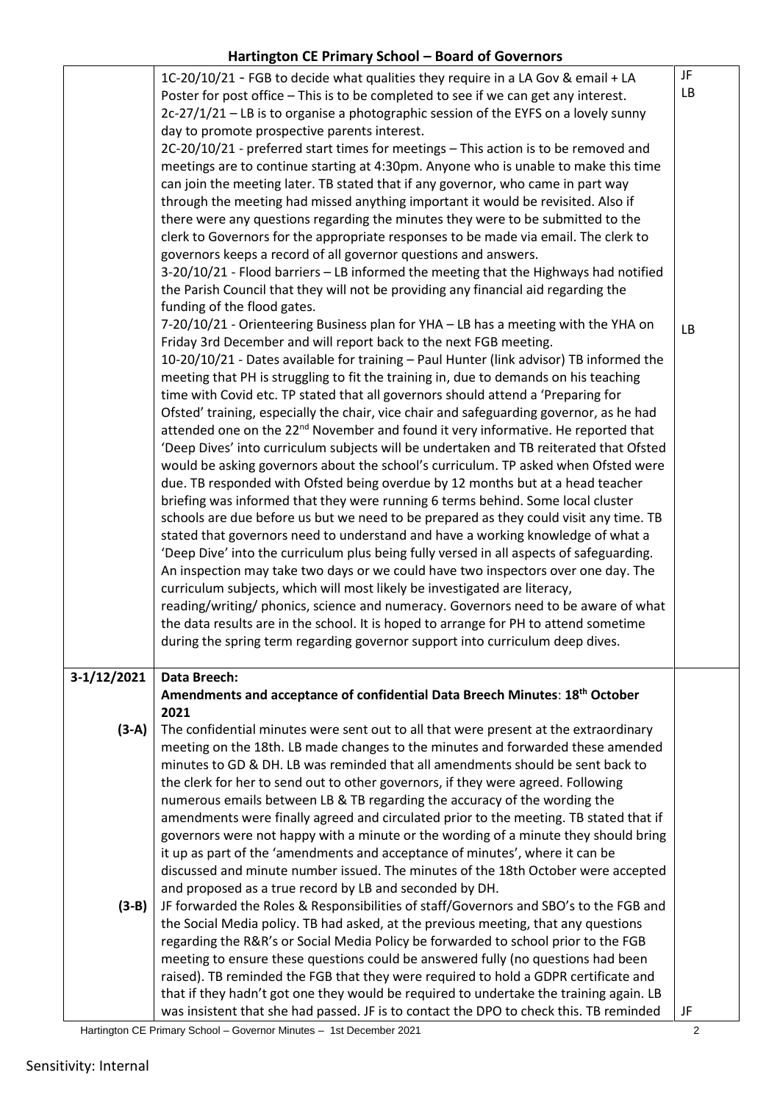|               | 1C-20/10/21 - FGB to decide what qualities they require in a LA Gov & email + LA              | JF        |
|---------------|-----------------------------------------------------------------------------------------------|-----------|
|               | Poster for post office - This is to be completed to see if we can get any interest.           | LB        |
|               | 2c-27/1/21 - LB is to organise a photographic session of the EYFS on a lovely sunny           |           |
|               | day to promote prospective parents interest.                                                  |           |
|               | 2C-20/10/21 - preferred start times for meetings - This action is to be removed and           |           |
|               | meetings are to continue starting at 4:30pm. Anyone who is unable to make this time           |           |
|               | can join the meeting later. TB stated that if any governor, who came in part way              |           |
|               | through the meeting had missed anything important it would be revisited. Also if              |           |
|               | there were any questions regarding the minutes they were to be submitted to the               |           |
|               | clerk to Governors for the appropriate responses to be made via email. The clerk to           |           |
|               | governors keeps a record of all governor questions and answers.                               |           |
|               | 3-20/10/21 - Flood barriers - LB informed the meeting that the Highways had notified          |           |
|               | the Parish Council that they will not be providing any financial aid regarding the            |           |
|               | funding of the flood gates.                                                                   |           |
|               | 7-20/10/21 - Orienteering Business plan for YHA - LB has a meeting with the YHA on            |           |
|               | Friday 3rd December and will report back to the next FGB meeting.                             | <b>LB</b> |
|               | 10-20/10/21 - Dates available for training - Paul Hunter (link advisor) TB informed the       |           |
|               | meeting that PH is struggling to fit the training in, due to demands on his teaching          |           |
|               | time with Covid etc. TP stated that all governors should attend a 'Preparing for              |           |
|               | Ofsted' training, especially the chair, vice chair and safeguarding governor, as he had       |           |
|               | attended one on the 22 <sup>nd</sup> November and found it very informative. He reported that |           |
|               |                                                                                               |           |
|               | 'Deep Dives' into curriculum subjects will be undertaken and TB reiterated that Ofsted        |           |
|               | would be asking governors about the school's curriculum. TP asked when Ofsted were            |           |
|               | due. TB responded with Ofsted being overdue by 12 months but at a head teacher                |           |
|               | briefing was informed that they were running 6 terms behind. Some local cluster               |           |
|               | schools are due before us but we need to be prepared as they could visit any time. TB         |           |
|               | stated that governors need to understand and have a working knowledge of what a               |           |
|               | 'Deep Dive' into the curriculum plus being fully versed in all aspects of safeguarding.       |           |
|               | An inspection may take two days or we could have two inspectors over one day. The             |           |
|               | curriculum subjects, which will most likely be investigated are literacy,                     |           |
|               | reading/writing/ phonics, science and numeracy. Governors need to be aware of what            |           |
|               | the data results are in the school. It is hoped to arrange for PH to attend sometime          |           |
|               | during the spring term regarding governor support into curriculum deep dives.                 |           |
|               |                                                                                               |           |
| $3-1/12/2021$ | <b>Data Breech:</b>                                                                           |           |
|               | Amendments and acceptance of confidential Data Breech Minutes: 18th October                   |           |
|               | 2021                                                                                          |           |
| $(3-A)$       | The confidential minutes were sent out to all that were present at the extraordinary          |           |
|               | meeting on the 18th. LB made changes to the minutes and forwarded these amended               |           |
|               | minutes to GD & DH. LB was reminded that all amendments should be sent back to                |           |
|               | the clerk for her to send out to other governors, if they were agreed. Following              |           |
|               | numerous emails between LB & TB regarding the accuracy of the wording the                     |           |
|               | amendments were finally agreed and circulated prior to the meeting. TB stated that if         |           |
|               | governors were not happy with a minute or the wording of a minute they should bring           |           |
|               | it up as part of the 'amendments and acceptance of minutes', where it can be                  |           |
|               | discussed and minute number issued. The minutes of the 18th October were accepted             |           |
|               | and proposed as a true record by LB and seconded by DH.                                       |           |
| $(3-B)$       | JF forwarded the Roles & Responsibilities of staff/Governors and SBO's to the FGB and         |           |
|               | the Social Media policy. TB had asked, at the previous meeting, that any questions            |           |
|               | regarding the R&R's or Social Media Policy be forwarded to school prior to the FGB            |           |
|               | meeting to ensure these questions could be answered fully (no questions had been              |           |
|               | raised). TB reminded the FGB that they were required to hold a GDPR certificate and           |           |
|               | that if they hadn't got one they would be required to undertake the training again. LB        |           |
|               | was insistent that she had passed. JF is to contact the DPO to check this. TB reminded        | JF        |

Hartington CE Primary School – Governor Minutes – 1st December 2021 2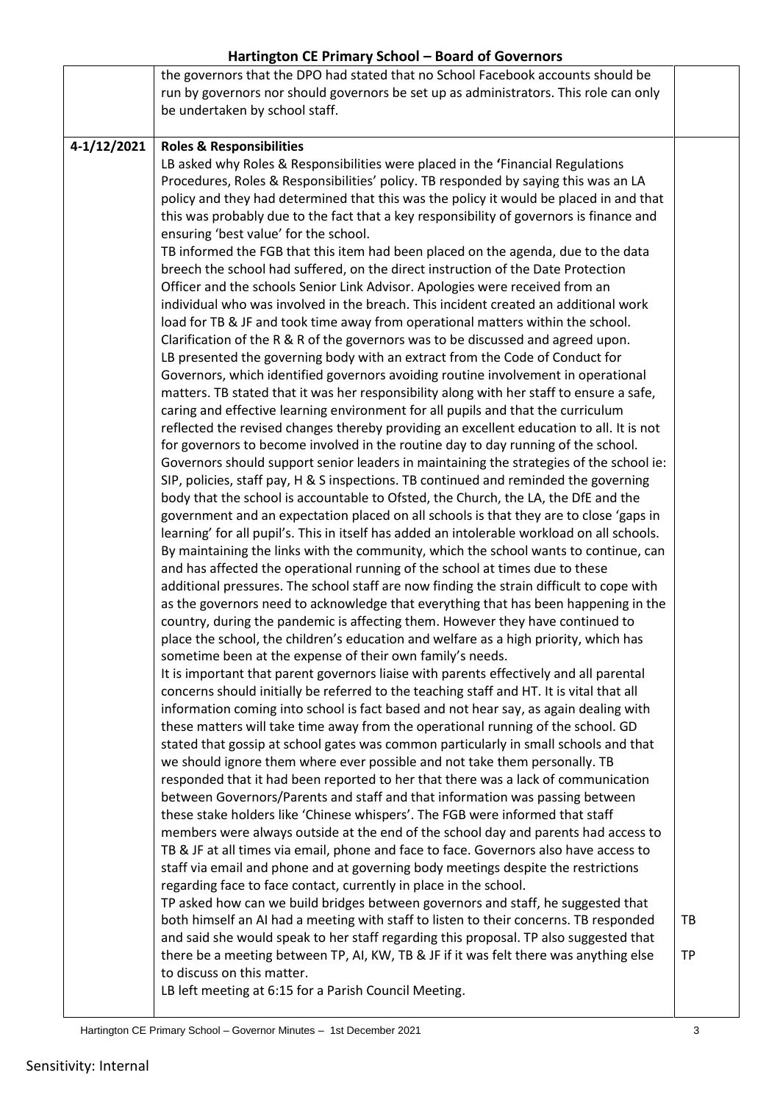|             | the governors that the DPO had stated that no School Facebook accounts should be<br>run by governors nor should governors be set up as administrators. This role can only<br>be undertaken by school staff.                                                                                                                                                                                                                                                                                                                                                                                                                                                                                                                                                                                                                                                                                                                                                                                                                                                                                                                                                                                                                                                                                                                                                                                                                                                                                                                                                                                                                                                                                                                                                                                                                                                                                                                                                                                                                                                                                                                                                                                                                                                                                                                                                                                                                                                                                                                                                                                                                                                                                                                                                                                                                                                                                                                                                                                                                                                                                                                                                                                                                                                                                                                                                                                                                                                                                                                                                                                                                                                                                                                                                                                                                                                                                                                                                                                                                                                                                                      |                 |
|-------------|------------------------------------------------------------------------------------------------------------------------------------------------------------------------------------------------------------------------------------------------------------------------------------------------------------------------------------------------------------------------------------------------------------------------------------------------------------------------------------------------------------------------------------------------------------------------------------------------------------------------------------------------------------------------------------------------------------------------------------------------------------------------------------------------------------------------------------------------------------------------------------------------------------------------------------------------------------------------------------------------------------------------------------------------------------------------------------------------------------------------------------------------------------------------------------------------------------------------------------------------------------------------------------------------------------------------------------------------------------------------------------------------------------------------------------------------------------------------------------------------------------------------------------------------------------------------------------------------------------------------------------------------------------------------------------------------------------------------------------------------------------------------------------------------------------------------------------------------------------------------------------------------------------------------------------------------------------------------------------------------------------------------------------------------------------------------------------------------------------------------------------------------------------------------------------------------------------------------------------------------------------------------------------------------------------------------------------------------------------------------------------------------------------------------------------------------------------------------------------------------------------------------------------------------------------------------------------------------------------------------------------------------------------------------------------------------------------------------------------------------------------------------------------------------------------------------------------------------------------------------------------------------------------------------------------------------------------------------------------------------------------------------------------------------------------------------------------------------------------------------------------------------------------------------------------------------------------------------------------------------------------------------------------------------------------------------------------------------------------------------------------------------------------------------------------------------------------------------------------------------------------------------------------------------------------------------------------------------------------------------------------------------------------------------------------------------------------------------------------------------------------------------------------------------------------------------------------------------------------------------------------------------------------------------------------------------------------------------------------------------------------------------------------------------------------------------------------------------------------------|-----------------|
| 4-1/12/2021 | <b>Roles &amp; Responsibilities</b><br>LB asked why Roles & Responsibilities were placed in the 'Financial Regulations<br>Procedures, Roles & Responsibilities' policy. TB responded by saying this was an LA<br>policy and they had determined that this was the policy it would be placed in and that<br>this was probably due to the fact that a key responsibility of governors is finance and<br>ensuring 'best value' for the school.<br>TB informed the FGB that this item had been placed on the agenda, due to the data<br>breech the school had suffered, on the direct instruction of the Date Protection<br>Officer and the schools Senior Link Advisor. Apologies were received from an<br>individual who was involved in the breach. This incident created an additional work<br>load for TB & JF and took time away from operational matters within the school.<br>Clarification of the R & R of the governors was to be discussed and agreed upon.<br>LB presented the governing body with an extract from the Code of Conduct for<br>Governors, which identified governors avoiding routine involvement in operational<br>matters. TB stated that it was her responsibility along with her staff to ensure a safe,<br>caring and effective learning environment for all pupils and that the curriculum<br>reflected the revised changes thereby providing an excellent education to all. It is not<br>for governors to become involved in the routine day to day running of the school.<br>Governors should support senior leaders in maintaining the strategies of the school ie:<br>SIP, policies, staff pay, H & S inspections. TB continued and reminded the governing<br>body that the school is accountable to Ofsted, the Church, the LA, the DfE and the<br>government and an expectation placed on all schools is that they are to close 'gaps in<br>learning' for all pupil's. This in itself has added an intolerable workload on all schools.<br>By maintaining the links with the community, which the school wants to continue, can<br>and has affected the operational running of the school at times due to these<br>additional pressures. The school staff are now finding the strain difficult to cope with<br>as the governors need to acknowledge that everything that has been happening in the<br>country, during the pandemic is affecting them. However they have continued to<br>place the school, the children's education and welfare as a high priority, which has<br>sometime been at the expense of their own family's needs.<br>It is important that parent governors liaise with parents effectively and all parental<br>concerns should initially be referred to the teaching staff and HT. It is vital that all<br>information coming into school is fact based and not hear say, as again dealing with<br>these matters will take time away from the operational running of the school. GD<br>stated that gossip at school gates was common particularly in small schools and that<br>we should ignore them where ever possible and not take them personally. TB<br>responded that it had been reported to her that there was a lack of communication<br>between Governors/Parents and staff and that information was passing between<br>these stake holders like 'Chinese whispers'. The FGB were informed that staff<br>members were always outside at the end of the school day and parents had access to<br>TB & JF at all times via email, phone and face to face. Governors also have access to<br>staff via email and phone and at governing body meetings despite the restrictions<br>regarding face to face contact, currently in place in the school.<br>TP asked how can we build bridges between governors and staff, he suggested that<br>both himself an AI had a meeting with staff to listen to their concerns. TB responded<br>and said she would speak to her staff regarding this proposal. TP also suggested that<br>there be a meeting between TP, AI, KW, TB & JF if it was felt there was anything else<br>to discuss on this matter. | TB<br><b>TP</b> |
|             | LB left meeting at 6:15 for a Parish Council Meeting.                                                                                                                                                                                                                                                                                                                                                                                                                                                                                                                                                                                                                                                                                                                                                                                                                                                                                                                                                                                                                                                                                                                                                                                                                                                                                                                                                                                                                                                                                                                                                                                                                                                                                                                                                                                                                                                                                                                                                                                                                                                                                                                                                                                                                                                                                                                                                                                                                                                                                                                                                                                                                                                                                                                                                                                                                                                                                                                                                                                                                                                                                                                                                                                                                                                                                                                                                                                                                                                                                                                                                                                                                                                                                                                                                                                                                                                                                                                                                                                                                                                            |                 |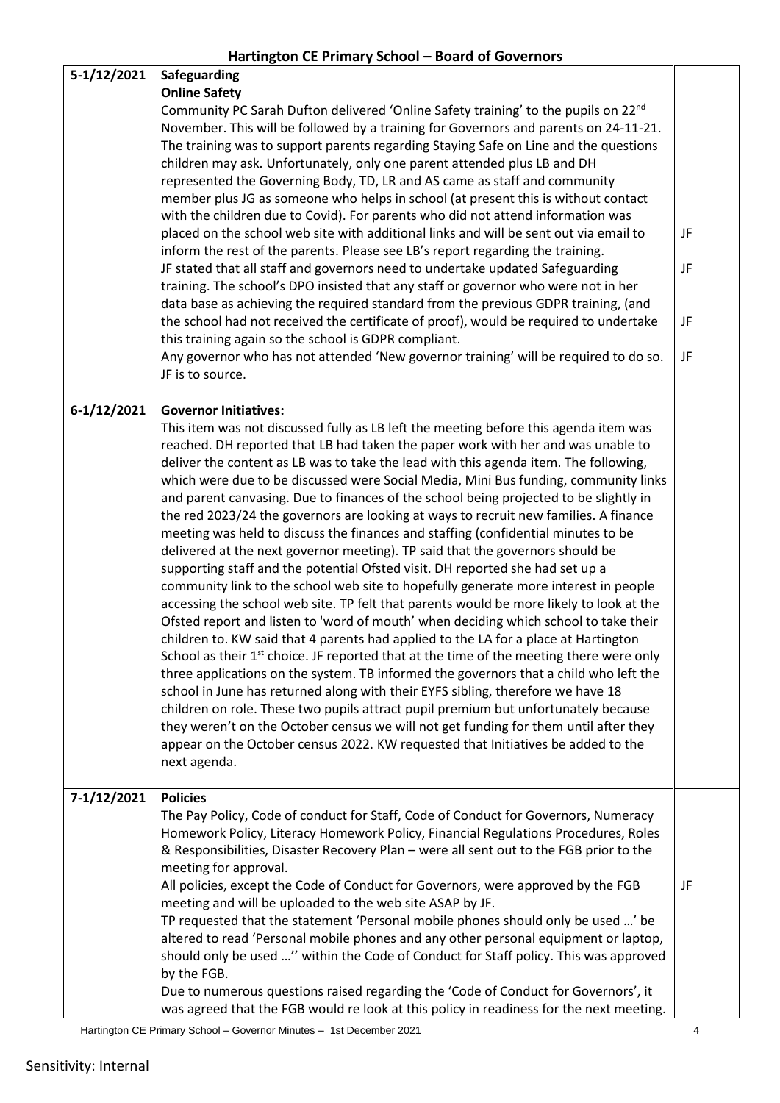| 5-1/12/2021 | Safeguarding<br><b>Online Safety</b><br>Community PC Sarah Dufton delivered 'Online Safety training' to the pupils on 22 <sup>nd</sup><br>November. This will be followed by a training for Governors and parents on 24-11-21.<br>The training was to support parents regarding Staying Safe on Line and the questions<br>children may ask. Unfortunately, only one parent attended plus LB and DH<br>represented the Governing Body, TD, LR and AS came as staff and community<br>member plus JG as someone who helps in school (at present this is without contact<br>with the children due to Covid). For parents who did not attend information was<br>placed on the school web site with additional links and will be sent out via email to<br>inform the rest of the parents. Please see LB's report regarding the training.<br>JF stated that all staff and governors need to undertake updated Safeguarding<br>training. The school's DPO insisted that any staff or governor who were not in her<br>data base as achieving the required standard from the previous GDPR training, (and<br>the school had not received the certificate of proof), would be required to undertake<br>this training again so the school is GDPR compliant.<br>Any governor who has not attended 'New governor training' will be required to do so.<br>JF is to source.                                                                                                                                                                                                                                                                                                                                                                                                          | JF<br>JF<br>JF<br>JF |
|-------------|-----------------------------------------------------------------------------------------------------------------------------------------------------------------------------------------------------------------------------------------------------------------------------------------------------------------------------------------------------------------------------------------------------------------------------------------------------------------------------------------------------------------------------------------------------------------------------------------------------------------------------------------------------------------------------------------------------------------------------------------------------------------------------------------------------------------------------------------------------------------------------------------------------------------------------------------------------------------------------------------------------------------------------------------------------------------------------------------------------------------------------------------------------------------------------------------------------------------------------------------------------------------------------------------------------------------------------------------------------------------------------------------------------------------------------------------------------------------------------------------------------------------------------------------------------------------------------------------------------------------------------------------------------------------------------------------------------------------------------------------------------------------------|----------------------|
| 6-1/12/2021 | <b>Governor Initiatives:</b><br>This item was not discussed fully as LB left the meeting before this agenda item was<br>reached. DH reported that LB had taken the paper work with her and was unable to<br>deliver the content as LB was to take the lead with this agenda item. The following,<br>which were due to be discussed were Social Media, Mini Bus funding, community links<br>and parent canvasing. Due to finances of the school being projected to be slightly in<br>the red 2023/24 the governors are looking at ways to recruit new families. A finance<br>meeting was held to discuss the finances and staffing (confidential minutes to be<br>delivered at the next governor meeting). TP said that the governors should be<br>supporting staff and the potential Ofsted visit. DH reported she had set up a<br>community link to the school web site to hopefully generate more interest in people<br>accessing the school web site. TP felt that parents would be more likely to look at the<br>Ofsted report and listen to 'word of mouth' when deciding which school to take their<br>children to. KW said that 4 parents had applied to the LA for a place at Hartington<br>School as their 1 <sup>st</sup> choice. JF reported that at the time of the meeting there were only<br>three applications on the system. TB informed the governors that a child who left the<br>school in June has returned along with their EYFS sibling, therefore we have 18<br>children on role. These two pupils attract pupil premium but unfortunately because<br>they weren't on the October census we will not get funding for them until after they<br>appear on the October census 2022. KW requested that Initiatives be added to the<br>next agenda. |                      |
| 7-1/12/2021 | <b>Policies</b><br>The Pay Policy, Code of conduct for Staff, Code of Conduct for Governors, Numeracy<br>Homework Policy, Literacy Homework Policy, Financial Regulations Procedures, Roles<br>& Responsibilities, Disaster Recovery Plan - were all sent out to the FGB prior to the<br>meeting for approval.<br>All policies, except the Code of Conduct for Governors, were approved by the FGB<br>meeting and will be uploaded to the web site ASAP by JF.<br>TP requested that the statement 'Personal mobile phones should only be used ' be<br>altered to read 'Personal mobile phones and any other personal equipment or laptop,<br>should only be used " within the Code of Conduct for Staff policy. This was approved<br>by the FGB.<br>Due to numerous questions raised regarding the 'Code of Conduct for Governors', it<br>was agreed that the FGB would re look at this policy in readiness for the next meeting.                                                                                                                                                                                                                                                                                                                                                                                                                                                                                                                                                                                                                                                                                                                                                                                                                                     | JF                   |

Hartington CE Primary School – Governor Minutes – 1st December 2021 4